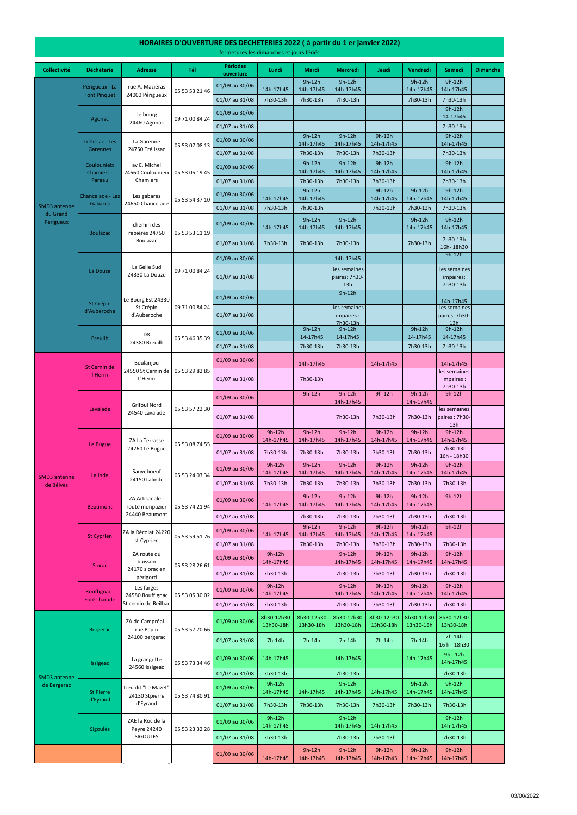#### **Collectivité Déchèterie Adresse Tél Périodes ouverture Lundi Mardi Mercredi Jeudi Vendredi Samedi Dimanche** 01/09 au 30/06 14h-17h45 9h-12h 14h-17h45 9h-12h 14h-17h45 9h-12h 14h-17h45 9h-12h 14h-17h45 01/07 au 31/08 7h30-13h 7h30-13h 7h30-13h 7h30-13h 7h30-13h 7h30-13h 01/09 au 30/06 **9h-12h au 12h an Dùbhair an Dùbhair** an Dùbhair an Dùbhair an Dùbhair an Dùbhair an Dùbhair an<br>Dùbhair an Dùbhair an Dùbhair an Dùbhair an Dùbhair an Dùbhair an Dùbhair an Dùbhair an Dùbhair an Dùbhair an 14-17h45 01/07 au 31/08 **7h30-13h** 01/09 au 30/06 9h-12h 14h-17h45 9h-12h 14h-17h45 9h-12h 14h-17h45 9h-12h 14h-17h45 01/07 au 31/08 | 7h30-13h | 7h30-13h | 7h30-13h | 7h30-13h | 7h30-13h | 7h30-13h 01/09 au 30/06 9h-12h 14h-17h45 9h-12h 14h-17h45 9h-12h 14h-17h45 9h-12h 14h-17h45 01/07 au 31/08 7h30-13h | 7h30-13h | 7h30-13h | 7h30-13h | 7h30-13h 01/09 au 30/06 14h-17h45 9h-12h 14h-17h45 9h-12h 14h-17h45 9h-12h 14h-17h45 9h-12h 14h-17h45 01/07 au 31/08 7h30-13h 7h30-13h 7h30-13h 7h30-13h 7h30-13h 7h30-13h 01/09 au 30/06 14h-17h45 9h-12h 14h-17h45 9h-12h 14h-17h45 9h-12h 14h-17h45 9h-12h 14h-17h45 01/07 au 31/08 7h30-13h 7h30-13h 7h30-13h 7h30-13h 7h30-13h 16h- 18h30 01/09 au 30/06 **14h-17h45** 14h-17h45 14h-17h45 14h-17h45 14h-17h45 14h-17h45 14h-17h45 14h-17h45 14h-17h45 14h 01/07 au 31/08 les semaines paires: 7h30- 13h les semaines impaires: 7h30-13h 01/09 au 30/06 9h-12h 14h-17h45 01/07 au 31/08 les semaine impaires : 7h30-13h les semaines paires: 7h30- 13h 01/09 au 30/06 9h-12h 14-17h45 9h-12h 14-17h45 9h-12h 14-17h45 9h-12h 14-17h45 01/07 au 31/08 7h30-13h 7h30-13h 7h30-13h 7h30-13h 7h30-13h 01/09 au 30/06 **14h-17h45 14h-17h45 14h-17h45** 14h-17h45 14h-17h45 01/07 au 31/08 7h30-13h les semaines impaires : 7h30-13h 01/09 au 30/06 9h-12h 9h-12h 9h-12h 14h-17h45 9h-12h 9h-12h 14h-17h45 9h-12h 01/07 au 31/08 7h30-13h 7h30-13h 7h30-13h les semaines paires : 7h30- 13h 01/09 au 30/06 9h-12h 14h-17h45 9h-12h 14h-17h45 9h-12h 14h-17h45 9h-12h 14h-17h45 9h-12h 14h-17h45 9h-12h 14h-17h45 01/07 au 31/08 7h30-13h 7h30-13h 7h30-13h 7h30-13h 7h30-13h 7h30-13h 16h - 18h30 01/09 au 30/06 9h-12h 14h-17h45 9h-12h 14h-17h45 9h-12h 14h-17h45 9h-12h 14h-17h45 9h-12h 14h-17h45 9h-12h 14h-17h45 01/07 au 31/08 7h30-13h 7h30-13h 7h30-13h 7h30-13h 7h30-13h 7h30-13h 01/09 au 30/06 14h-17h45 9h-12h 14h-17h45 9h-12h 14h-17h45 9h-12h 14h-17h45 9h-12h 14h-17h45 9h-12h 01/07 au 31/08 7h30-13h 7h30-13h 7h30-13h 7h30-13h 7h30-13h 01/09 au 30/06 14h-17h45 9h-12h 14h-17h45 9h-12h 14h-17h45 9h-12h 14h-17h45 9h-12h 14h-17h45 9h-12h 01/07 au 31/08 | 7h30-13h | 7h30-13h | 7h30-13h | 7h30-13h | 7h30-13h 01/09 au 30/06 9h-12h 14h-17h45 9h-12h 14h-17h45 9h-12h 14h-17h45 9h-12h 14h-17h45 9h-12h 14h-17h45 01/07 au 31/08 7h30-13h 7h30-13h 7h30-13h 7h30-13h 7h30-13h 01/09 au 30/06 9h-12h 14h-17h45 9h-12h 14h-17h45 9h-12h 14h-17h45 9h-12h 14h-17h45 9h-12h 14h-17h45 D8 24380 Breuilh 05 53 57 22 30 Breuilh 05 53 53 11 19 Grifoul Nord 24540 Lavalade La Douze La Gelie Sud 24330 La Douze 09 71 00 84 24 Lalinde chemin des rebières 24750 Boulazac St Crépin d'Auberoche Le Bourg Est 24330 St Crépin d'Auberoche 09 71 00 84 24 Périgueux - La Font Pinquet 05 53 07 08 13 Coulounieix Chamiers - Pareau av E. Michel 24660 Coulounieix Chamiers 05 53 54 37 10 Boulazac rue A. Maziéras 24000 Périgueux 05 53 46 35 39 05 53 53 21 46 Agonac Le bourg 24460 Agonac 09 71 00 84 24 Le Bugue ZA La Terrasse 24260 Le Bugue 05 53 08 74 55 Lavalade Les gabares 24650 Chancelade Sauveboeuf 24150 Lalinde 05 53 24 03 34 Beaumont ZA Artisanale route monpazier 24440 Beaumont SMD3 antenne du Grand Périgueux St Cernin de l'Herm Boulanjou 24550 St Cernin de L'Herm 05 53 29 82 85 05 53 05 19 45 Chancelade - Les Gabares Trélissac - Les Garennes La Garenne 24750 Trélissac SMD3 antenne de Bélvès 05 53 74 21 94 St Cyprien ZA la Récolat 24220 st Cyprien 05 53 59 51 76 Siorac ZA route du buisson 24170 siorac en périgord 05 53 28 26 61 Rouffignac - Les farges 24580 Rouffignac 05 53 05 30 02

01/07 au 31/08 7h30-13h 7h30-13h 7h30-13h 7h30-13h 7h30-13h

| SMD3 antenne<br>de Bergerac | <b>Bergerac</b>       | ZA de Campréal -<br>rue Papin                     | 05 53 57 70 66 | 01/09 au 30/06 | 8h30-12h30<br>13h30-18h | 8h30-12h30<br>13h30-18h | 8h30-12h30<br>13h30-18h | 8h30-12h30<br>13h30-18h | 8h30-12h30<br>13h30-18h | 8h30-12h30<br>13h30-18h |  |
|-----------------------------|-----------------------|---------------------------------------------------|----------------|----------------|-------------------------|-------------------------|-------------------------|-------------------------|-------------------------|-------------------------|--|
|                             |                       | 24100 bergerac                                    |                | 01/07 au 31/08 | $7h-14h$                | 7h-14h                  | $7h-14h$                | 7h-14h                  | $7h-14h$                | 7h-14h<br>16 h - 18h30  |  |
|                             | Issigeac              | La grangette<br>24560 Issigeac                    | 05 53 73 34 46 | 01/09 au 30/06 | 14h-17h45               |                         | 14h-17h45               |                         | 14h-17h45               | $9h - 12h$<br>14h-17h45 |  |
|                             |                       |                                                   |                | 01/07 au 31/08 | 7h30-13h                |                         | 7h30-13h                |                         |                         | 7h30-13h                |  |
|                             | St Pierre<br>d'Eyraud | Lieu dit "Le Mazet"<br>24130 Stpierre<br>d'Eyraud | 05 53 74 80 91 | 01/09 au 30/06 | $9h-12h$<br>14h-17h45   | 14h-17h45               | $9h-12h$<br>14h-17h45   | 14h-17h45               | $9h-12h$<br>14h-17h45   | $9h-12h$<br>14h-17h45   |  |
|                             |                       |                                                   |                | 01/07 au 31/08 | 7h30-13h                | 7h30-13h                | 7h30-13h                | 7h30-13h                | 7h30-13h                | 7h30-13h                |  |
|                             | <b>Sigoules</b>       | ZAE le Roc de la<br>Peyre 24240                   | 05 53 23 32 28 | 01/09 au 30/06 | $9h-12h$<br>14h-17h45   |                         | $9h-12h$<br>14h-17h45   | 14h-17h45               |                         | $9h-12h$<br>14h-17h45   |  |
|                             |                       | <b>SIGOULES</b>                                   |                | 01/07 au 31/08 | 7h30-13h                |                         | 7h30-13h                | 7h30-13h                |                         | 7h30-13h                |  |
|                             |                       |                                                   |                | 01/09 au 30/06 | 14h-17h45               | $9h-12h$<br>14h-17h45   | $9h-12h$<br>14h-17h45   | $9h-12h$<br>14h-17h45   | $9h-12h$<br>14h-17h45   | $9h-12h$<br>14h-17h45   |  |

Forêt barade

St cernin de Reilhac

### **HORAIRES D'OUVERTURE DES DECHETERIES 2022 ( à partir du 1 er janvier 2022)**

fermetures les dimanches et jours fériés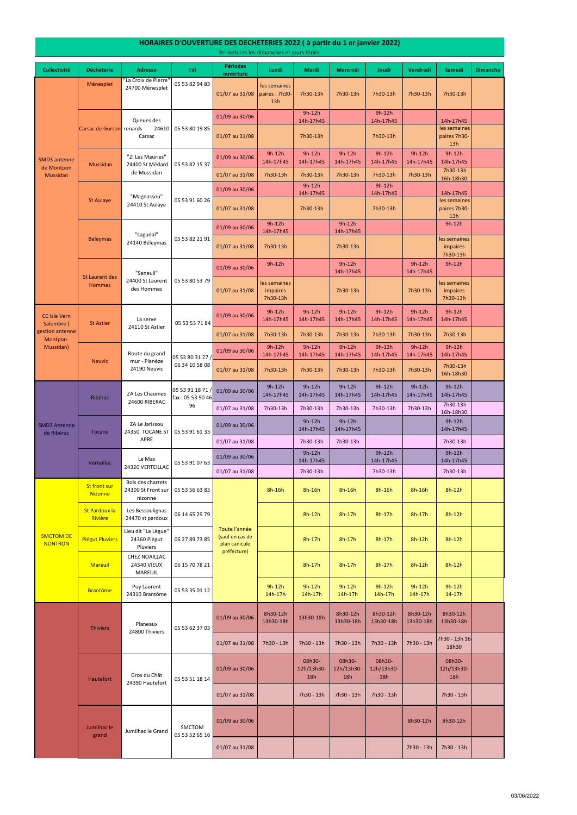#### **Collectivité Déchèterie Adresse Tél Périodes ouverture Lundi Mardi Mercredi Jeudi Vendredi Samedi Dimanche** Ménesplet 01/07 au 31/08 les semaines paires : 7h30- 13h 7h30-13h 7h30-13h 7h30-13h 7h30-13h 7h30-13h 01/09 au 30/06 9h-12h 14h-17h45 9h-12h 14h-17h45 14h-17h45 01/07 au 31/08 **7h30-13h 7h30-13h** 7h30-13h les semaines paires 7h30- 13h 01/09 au 30/06 9h-12h 14h-17h45 9h-12h 14h-17h45 9h-12h 14h-17h45 9h-12h 14h-17h45 9h-12h 14h-17h45 9h-12h 14h-17h45 01/07 au 31/08 7h30-13h 7h30-13h 7h30-13h 7h30-13h 7h30-13h 7h30-13h 16h-18h30 01/09 au 30/06 9h-12h 14h-17h45 9h-12h 14h-17h45 14h-17h45 01/07 au 31/08 **7h30-13h 1200-13h** 7h30-13h les semaines paires 7h30- 13h 01/09 au 30/06 9h-12h 14h-17h45 9h-12h 14h-17h45 9h-12h 01/07 au 31/08 7h30-13h <br>
7h30-13h les semaines impaires 7h30-13h 01/09 au 30/06 9h-12h 9h-12h 9h-12h 14h-17h45 9h-12h 14h-17h45 9h-12h 01/07 au 31/08 les semaines impaires 7h30-13h 7h30-13h 7h30-13h les semaines impaires 7h30-13h 01/09 au 30/06 9h-12h 14h-17h45 9h-12h 14h-17h45 9h-12h 14h-17h45 9h-12h 14h-17h45 9h-12h 14h-17h45 9h-12h 14h-17h45 01/07 au 31/08 7h30-13h 7h30-13h 7h30-13h 7h30-13h 7h30-13h 7h30-13h 01/09 au 30/06 9h-12h 14h-17h45 9h-12h 14h-17h45 9h-12h 14h-17h45 9h-12h 14h-17h45 9h-12h 14h-17h45 9h-12h 14h-17h45 01/07 au 31/08 7h30-13h 7h30-13h 7h30-13h 7h30-13h 7h30-13h 7h30-13h 16h-18h30 01/09 au 30/06 9h-12h 14h-17h45 9h-12h 14h-17h45 9h-12h 14h-17h45 9h-12h 14h-17h45 9h-12h 14h-17h45 9h-12h 14h-17h45 01/07 au 31/08 7h30-13h 7h30-13h 7h30-13h 7h30-13h 7h30-13h 7h30-13h 16h-18h30 01/09 au 30/06 9h-12h 14h-17h45 9h-12h 14h-17h45 9h-12h 14h-17h45 01/07 au 31/08 7h30-13h | 7h30-13h | 7h30-13h | 7h30-13h 01/09 au 30/06 9h-12h 14h-17h45 9h-12h 14h-17h45 9h-12h 14h-17h45 01/07 au 31/08 7h30-13h 7h30-13h 7h30-13h 7h30-13h 7h30-13h St front sur Nizonne Bois des charrets 24300 St Front sur nizonne 05 53 56 63 83 **8h-16h 8h-16h 8h-16h 8h-16h 8h-16h 8h-16h** 8h-12h St Pardoux la Rivière Les Bessoulignas 24470 st pardoux 06 14 65 29 79 8h-12h 8h-17h 8h-17h 8h-17h 8h-12h Piégut Pluviers Lieu dit "La Lègue" 24360 Piégut Pluviers 06 27 89 73 85 Station Castle 1 8h-17h 8h-17h 8h-17h 8h-17h 8h-17h 8h-12h 8h-12h **Mareuil** CHEZ NOAILLAC 24340 VIEUX MAREUIL 06 15 70 78 21 **8h-17h 8h-17h 8h-17h 8h-17h 8h-17h** 8h-12h 8h-12h Brantôme Puy Laurent 24310 Brantôme 05 53 35 01 12 9h-12h 14h-17h 9h-12h 14h-17h 9h-12h 14h-17h 9h-12h 14h-17h 9h-12h 14h-17h 9h-12h 14-17h SMD3 Antenne de Ribérac ZA Le Jarissou 24350 TOCANE ST APRE Tocane Neuvic 05 53 91 07 63 SMCTOM DE NONTRON Ribérac 05 53 80 31 27 / 06 34 10 58 08 ZA Les Chaumes 24600 RIBERAC Toute l'année (sauf en cas de plan canicule préfecture) Route du grand mur - Planèze 24190 Neuvic 05 53 91 18 71 / fax : 05 53 90 46 96 "ZI Les Mauries" Mussidan 24400 St Médard 05 53 82 15 37 de Mussidan SMD3 antenne de Montpon Mussidan St Aulaye 24410 St Aulaye 05 53 91 60 26  $\begin{array}{|c|c|c|c|c|}\n \hline\n \text{2} & 05 & 53 & 82 & 21 & 91 \\
 \hline\n \text{2} & 0.5 & 53 & 82 & 21 & 91\n \end{array}$ 24140 Béleymas "Seneuil" 24400 St Laurent des Hommes 05 53 80 53 79 Carsac de Gurson Queues des renards 24610 Carsac 05 53 80 19 85 "Magnassou" 24410 St Aulaye Beleymas Le Mas 24320 VERTEILLAC 05 53 91 61 33 CC Isle Vern Salembre ( estion antenne Montpon-Mussidan) "La Croix de Pierre' 24700 Ménesplet 05 53 82 94 83 St Laurent des Hommes St Astier La serve 24110 St Astier 05 53 53 71 84 **Verteillac**

### **HORAIRES D'OUVERTURE DES DECHETERIES 2022 ( à partir du 1 er janvier 2022)**

fermetures les dimanches et jours fériés

|  | <b>Thiviers</b>      | Planeaux<br>24800 Thiviers      | 05 53 62 37 03                  | 01/09 au 30/06 | 8h30-12h<br>13h30-18h | 13h30-18h                   | 8h30-12h<br>13h30-18h       | 8h30-12h<br>13h30-18h       | 8h30-12h<br>13h30-18h | 8h30-12h<br>13h30-18h       |  |
|--|----------------------|---------------------------------|---------------------------------|----------------|-----------------------|-----------------------------|-----------------------------|-----------------------------|-----------------------|-----------------------------|--|
|  |                      |                                 |                                 | 01/07 au 31/08 | 7h30 - 13h            | 7h30 - 13h                  | 7h30 - 13h                  | 7h30 - 13h                  | 7h30 - 13h            | 7h30 - 13h 16-<br>18h30     |  |
|  | <b>Hautefort</b>     | Gros du Chât<br>24390 Hautefort | 05 53 51 18 14                  | 01/09 au 30/06 |                       | 08h30-<br>12h/13h30-<br>18h | 08h30-<br>12h/13h30-<br>18h | 08h30-<br>12h/13h30-<br>18h |                       | 08h30-<br>12h/13h30-<br>18h |  |
|  |                      |                                 |                                 | 01/07 au 31/08 |                       | 7h30 - 13h                  | 7h30 - 13h                  | 7h30 - 13h                  |                       | 7h30 - 13h                  |  |
|  | Jumilhac le<br>grand | Jumilhac le Grand               | <b>SMCTOM</b><br>05 53 52 65 16 | 01/09 au 30/06 |                       |                             |                             |                             | 8h30-12h              | 8h30-12h                    |  |
|  |                      |                                 |                                 | 01/07 au 31/08 |                       |                             |                             |                             | 7h30 - 13h            | 7h30 - 13h                  |  |